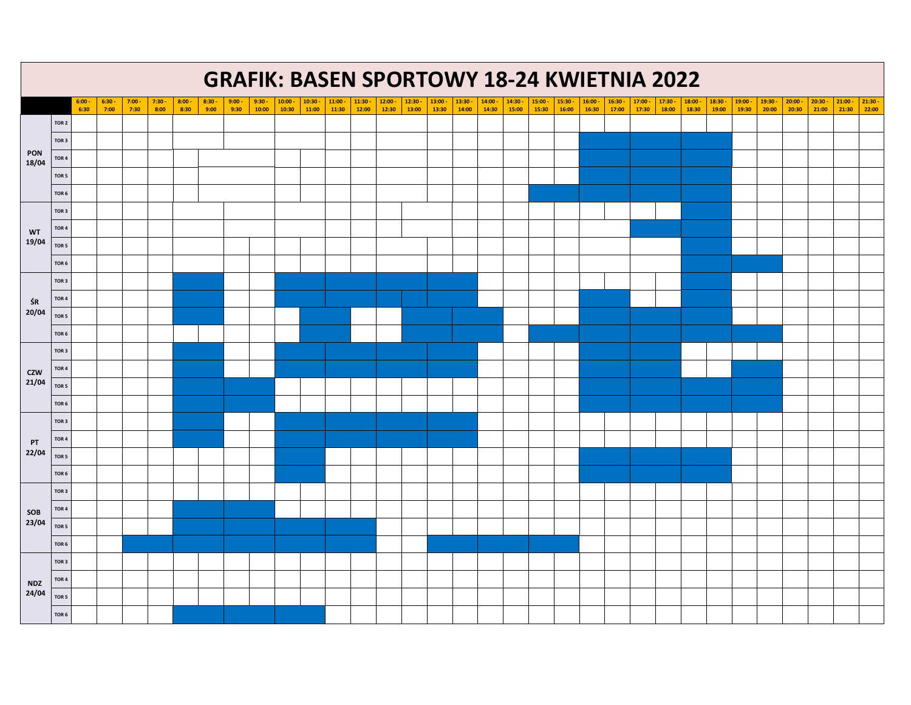